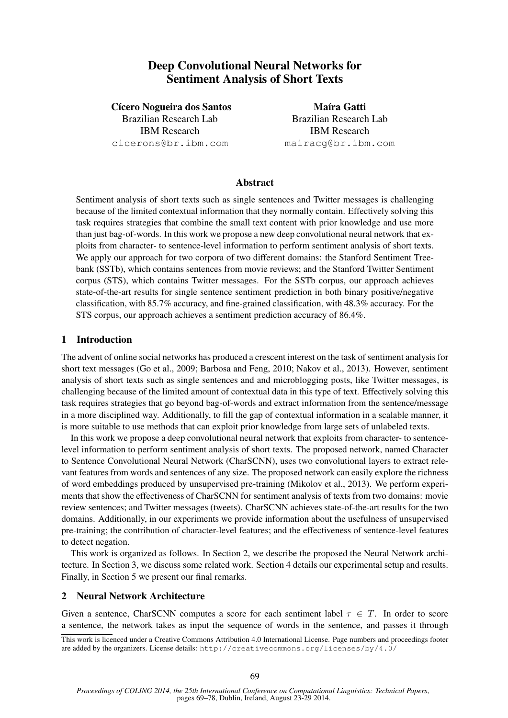# Deep Convolutional Neural Networks for Sentiment Analysis of Short Texts

Cícero Nogueira dos Santos Brazilian Research Lab IBM Research cicerons@br.ibm.com

Maíra Gatti Brazilian Research Lab IBM Research mairacg@br.ibm.com

## Abstract

Sentiment analysis of short texts such as single sentences and Twitter messages is challenging because of the limited contextual information that they normally contain. Effectively solving this task requires strategies that combine the small text content with prior knowledge and use more than just bag-of-words. In this work we propose a new deep convolutional neural network that exploits from character- to sentence-level information to perform sentiment analysis of short texts. We apply our approach for two corpora of two different domains: the Stanford Sentiment Treebank (SSTb), which contains sentences from movie reviews; and the Stanford Twitter Sentiment corpus (STS), which contains Twitter messages. For the SSTb corpus, our approach achieves state-of-the-art results for single sentence sentiment prediction in both binary positive/negative classification, with 85.7% accuracy, and fine-grained classification, with 48.3% accuracy. For the STS corpus, our approach achieves a sentiment prediction accuracy of 86.4%.

### 1 Introduction

The advent of online social networks has produced a crescent interest on the task of sentiment analysis for short text messages (Go et al., 2009; Barbosa and Feng, 2010; Nakov et al., 2013). However, sentiment analysis of short texts such as single sentences and and microblogging posts, like Twitter messages, is challenging because of the limited amount of contextual data in this type of text. Effectively solving this task requires strategies that go beyond bag-of-words and extract information from the sentence/message in a more disciplined way. Additionally, to fill the gap of contextual information in a scalable manner, it is more suitable to use methods that can exploit prior knowledge from large sets of unlabeled texts.

In this work we propose a deep convolutional neural network that exploits from character- to sentencelevel information to perform sentiment analysis of short texts. The proposed network, named Character to Sentence Convolutional Neural Network (CharSCNN), uses two convolutional layers to extract relevant features from words and sentences of any size. The proposed network can easily explore the richness of word embeddings produced by unsupervised pre-training (Mikolov et al., 2013). We perform experiments that show the effectiveness of CharSCNN for sentiment analysis of texts from two domains: movie review sentences; and Twitter messages (tweets). CharSCNN achieves state-of-the-art results for the two domains. Additionally, in our experiments we provide information about the usefulness of unsupervised pre-training; the contribution of character-level features; and the effectiveness of sentence-level features to detect negation.

This work is organized as follows. In Section 2, we describe the proposed the Neural Network architecture. In Section 3, we discuss some related work. Section 4 details our experimental setup and results. Finally, in Section 5 we present our final remarks.

### 2 Neural Network Architecture

Given a sentence, CharSCNN computes a score for each sentiment label  $\tau \in T$ . In order to score a sentence, the network takes as input the sequence of words in the sentence, and passes it through

This work is licenced under a Creative Commons Attribution 4.0 International License. Page numbers and proceedings footer are added by the organizers. License details: http://creativecommons.org/licenses/by/4.0/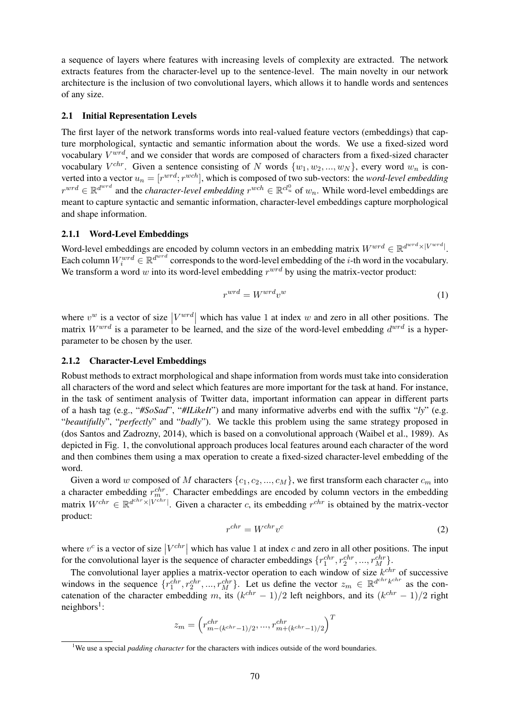a sequence of layers where features with increasing levels of complexity are extracted. The network extracts features from the character-level up to the sentence-level. The main novelty in our network architecture is the inclusion of two convolutional layers, which allows it to handle words and sentences of any size.

#### 2.1 Initial Representation Levels

The first layer of the network transforms words into real-valued feature vectors (embeddings) that capture morphological, syntactic and semantic information about the words. We use a fixed-sized word vocabulary  $V^{wrd}$ , and we consider that words are composed of characters from a fixed-sized character vocabulary  $V^{chr}$ . Given a sentence consisting of N words  $\{w_1, w_2, ..., w_N\}$ , every word  $w_n$  is converted into a vector  $u_n = [r^{wrd}; r^{wch}]$ , which is composed of two sub-vectors: the *word-level embedding*  $r^{wrd} \in \mathbb{R}^{d^{wrd}}$  and the *character-level embedding*  $r^{wch} \in \mathbb{R}^{cl_u^0}$  of  $w_n$ . While word-level embeddings are meant to capture syntactic and semantic information, character-level embeddings capture morphological and shape information.

### 2.1.1 Word-Level Embeddings

Word-level embeddings are encoded by column vectors in an embedding matrix  $W^{wrd} \in \mathbb{R}^{d^{wrd} \times |V^{wrd}|}$ . Each column  $W_i^{wrd} \in \mathbb{R}^{d^{wrd}}$  corresponds to the word-level embedding of the *i*-th word in the vocabulary. We transform a word w into its word-level embedding  $r^{wrd}$  by using the matrix-vector product:

$$
r^{wrd} = W^{wrd}v^w \tag{1}
$$

where  $v^w$  is a vector of size  $|V^{wrd}|$  which has value 1 at index w and zero in all other positions. The matrix  $W^{wrd}$  is a parameter to be learned, and the size of the word-level embedding  $d^{wrd}$  is a hyperparameter to be chosen by the user.

#### 2.1.2 Character-Level Embeddings

Robust methods to extract morphological and shape information from words must take into consideration all characters of the word and select which features are more important for the task at hand. For instance, in the task of sentiment analysis of Twitter data, important information can appear in different parts of a hash tag (e.g., "*#SoSad*", "*#ILikeIt*") and many informative adverbs end with the suffix "*ly*" (e.g. "*beautifully*", "*perfectly*" and "*badly*"). We tackle this problem using the same strategy proposed in (dos Santos and Zadrozny, 2014), which is based on a convolutional approach (Waibel et al., 1989). As depicted in Fig. 1, the convolutional approach produces local features around each character of the word and then combines them using a max operation to create a fixed-sized character-level embedding of the word.

Given a word w composed of M characters  $\{c_1, c_2, ..., c_M\}$ , we first transform each character  $c_m$  into a character embedding  $r_m^{chr}$ . Character embeddings are encoded by column vectors in the embedding matrix  $W^{chr} \in \mathbb{R}^{d^{chr} \times |V^{chr}|}$ . Given a character c, its embedding  $r^{chr}$  is obtained by the matrix-vector product:

$$
r^{chr} = W^{chr} v^c \tag{2}
$$

where  $v^c$  is a vector of size  $|V^{chr}|$  which has value 1 at index c and zero in all other positions. The input for the convolutional layer is the sequence of character embeddings  $\{r_1^{chr}, r_2^{chr}, ..., r_M^{chr}\}.$ 

The convolutional layer applies a matrix-vector operation to each window of size  $k^{chr}$  of successive windows in the sequence  $\{r_1^{chr}, r_2^{chr}, ..., r_M^{chr}\}$ . Let us define the vector  $z_m \in \mathbb{R}^{d^{chr}k^{chr}}$  as the concatenation of the character embedding m, its  $(k^{chr} - 1)/2$  left neighbors, and its  $(k^{chr} - 1)/2$  right  $neighbours<sup>1</sup>$ :

$$
z_m = \left(r_{m-(k^{chr}-1)/2}^{chr}, \ldots, r_{m+(k^{chr}-1)/2}^{chr}\right)^T
$$

<sup>&</sup>lt;sup>1</sup>We use a special *padding character* for the characters with indices outside of the word boundaries.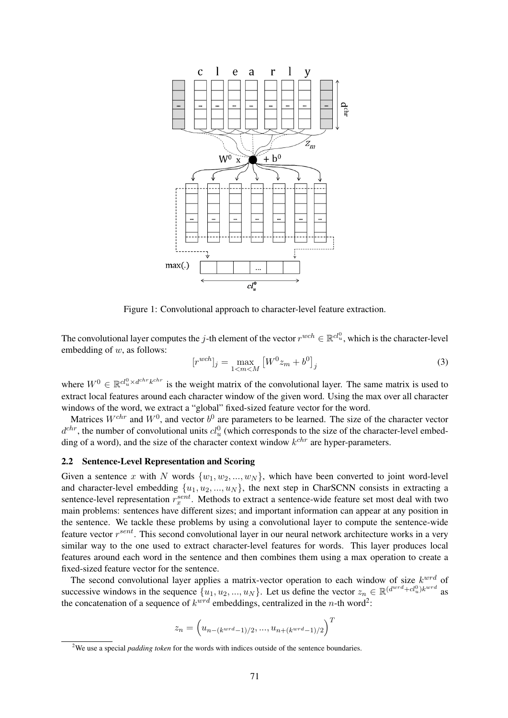

Figure 1: Convolutional approach to character-level feature extraction.

The convolutional layer computes the j-th element of the vector  $r^{wch} \in \mathbb{R}^{cl_u^0}$ , which is the character-level embedding of  $w$ , as follows:

$$
[r^{wch}]_j = \max_{1 < m < M} \left[ W^0 z_m + b^0 \right]_j \tag{3}
$$

where  $W^0 \in \mathbb{R}^{d_u^0 \times d^{chr} k^{chr}}$  is the weight matrix of the convolutional layer. The same matrix is used to extract local features around each character window of the given word. Using the max over all character windows of the word, we extract a "global" fixed-sized feature vector for the word.

Matrices  $W^{chr}$  and  $W^0$ , and vector  $b^0$  are parameters to be learned. The size of the character vector  $d^{chr}$ , the number of convolutional units  $cl_u^0$  (which corresponds to the size of the character-level embedding of a word), and the size of the character context window  $k^{chr}$  are hyper-parameters.

#### 2.2 Sentence-Level Representation and Scoring

Given a sentence x with N words  $\{w_1, w_2, ..., w_N\}$ , which have been converted to joint word-level and character-level embedding  $\{u_1, u_2, ..., u_N\}$ , the next step in CharSCNN consists in extracting a sentence-level representation  $r_x^{sent}$ . Methods to extract a sentence-wide feature set most deal with two main problems: sentences have different sizes; and important information can appear at any position in the sentence. We tackle these problems by using a convolutional layer to compute the sentence-wide feature vector  $r^{sent}$ . This second convolutional layer in our neural network architecture works in a very similar way to the one used to extract character-level features for words. This layer produces local features around each word in the sentence and then combines them using a max operation to create a fixed-sized feature vector for the sentence.

The second convolutional layer applies a matrix-vector operation to each window of size  $k^{wrd}$  of successive windows in the sequence  $\{u_1, u_2, ..., u_N\}$ . Let us define the vector  $z_n \in \mathbb{R}^{(d^{wrd} + cl_u^0)k^{wrd}}$  as the concatenation of a sequence of  $k^{wrd}$  embeddings, centralized in the *n*-th word<sup>2</sup>:

$$
z_n = \Big(u_{n-(k^{wrd}-1)/2},...,u_{n+(k^{wrd}-1)/2}\Big)^T
$$

<sup>&</sup>lt;sup>2</sup>We use a special *padding token* for the words with indices outside of the sentence boundaries.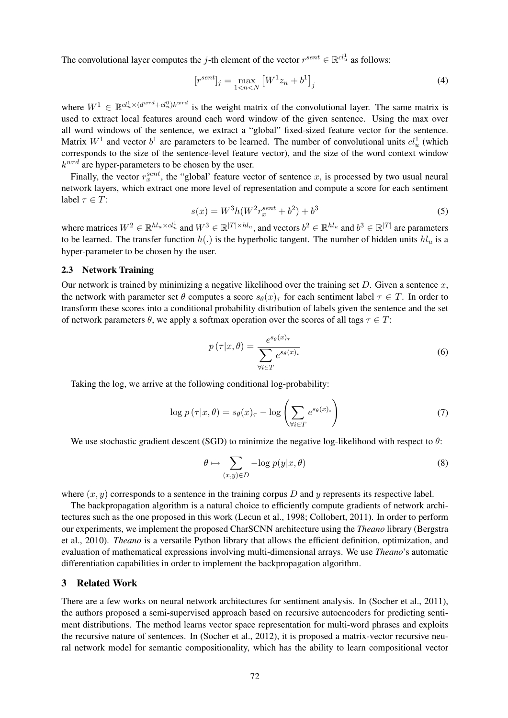The convolutional layer computes the *j*-th element of the vector  $r^{sent} \in \mathbb{R}^{cl_u^1}$  as follows:

$$
[r^{sent}]_j = \max_{1 < n < N} \left[ W^1 z_n + b^1 \right]_j \tag{4}
$$

where  $W^1 \in \mathbb{R}^{cl_u^1 \times (d^{wrd} + cl_u^0)k^{wrd}}$  is the weight matrix of the convolutional layer. The same matrix is used to extract local features around each word window of the given sentence. Using the max over all word windows of the sentence, we extract a "global" fixed-sized feature vector for the sentence. Matrix  $W^1$  and vector  $b^1$  are parameters to be learned. The number of convolutional units  $cl_u^1$  (which corresponds to the size of the sentence-level feature vector), and the size of the word context window  $k<sup>wrd</sup>$  are hyper-parameters to be chosen by the user.

Finally, the vector  $r_x^{sent}$ , the "global' feature vector of sentence x, is processed by two usual neural network layers, which extract one more level of representation and compute a score for each sentiment label  $\tau \in T$ :

$$
s(x) = W^3 h(W^2 r_x^{sent} + b^2) + b^3
$$
\n(5)

where matrices  $W^2 \in \mathbb{R}^{h l_u \times c l_u^1}$  and  $W^3 \in \mathbb{R}^{|T| \times h l_u}$ , and vectors  $b^2 \in \mathbb{R}^{h l_u}$  and  $b^3 \in \mathbb{R}^{|T|}$  are parameters to be learned. The transfer function  $h(.)$  is the hyperbolic tangent. The number of hidden units  $h l_u$  is a hyper-parameter to be chosen by the user.

#### 2.3 Network Training

Our network is trained by minimizing a negative likelihood over the training set D. Given a sentence  $x$ , the network with parameter set  $\theta$  computes a score  $s_{\theta}(x)_{\tau}$  for each sentiment label  $\tau \in T$ . In order to transform these scores into a conditional probability distribution of labels given the sentence and the set of network parameters  $\theta$ , we apply a softmax operation over the scores of all tags  $\tau \in T$ :

$$
p(\tau|x,\theta) = \frac{e^{s_{\theta}(x)\tau}}{\sum_{\forall i \in T} e^{s_{\theta}(x)_i}}
$$
(6)

Taking the log, we arrive at the following conditional log-probability:

$$
\log p\left(\tau|x,\theta\right) = s_{\theta}(x)_{\tau} - \log \left(\sum_{\forall i \in T} e^{s_{\theta}(x)_{i}}\right) \tag{7}
$$

We use stochastic gradient descent (SGD) to minimize the negative log-likelihood with respect to  $\theta$ :

$$
\theta \mapsto \sum_{(x,y)\in D} -\log p(y|x,\theta) \tag{8}
$$

where  $(x, y)$  corresponds to a sentence in the training corpus D and y represents its respective label.

The backpropagation algorithm is a natural choice to efficiently compute gradients of network architectures such as the one proposed in this work (Lecun et al., 1998; Collobert, 2011). In order to perform our experiments, we implement the proposed CharSCNN architecture using the *Theano* library (Bergstra et al., 2010). *Theano* is a versatile Python library that allows the efficient definition, optimization, and evaluation of mathematical expressions involving multi-dimensional arrays. We use *Theano*'s automatic differentiation capabilities in order to implement the backpropagation algorithm.

### 3 Related Work

There are a few works on neural network architectures for sentiment analysis. In (Socher et al., 2011), the authors proposed a semi-supervised approach based on recursive autoencoders for predicting sentiment distributions. The method learns vector space representation for multi-word phrases and exploits the recursive nature of sentences. In (Socher et al., 2012), it is proposed a matrix-vector recursive neural network model for semantic compositionality, which has the ability to learn compositional vector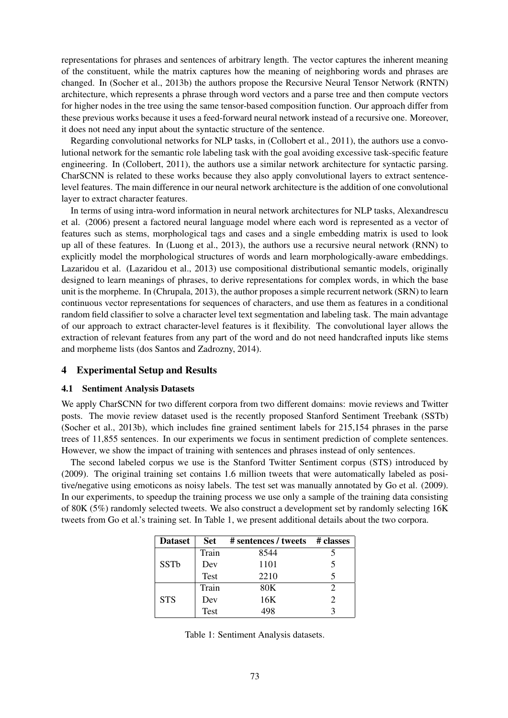representations for phrases and sentences of arbitrary length. The vector captures the inherent meaning of the constituent, while the matrix captures how the meaning of neighboring words and phrases are changed. In (Socher et al., 2013b) the authors propose the Recursive Neural Tensor Network (RNTN) architecture, which represents a phrase through word vectors and a parse tree and then compute vectors for higher nodes in the tree using the same tensor-based composition function. Our approach differ from these previous works because it uses a feed-forward neural network instead of a recursive one. Moreover, it does not need any input about the syntactic structure of the sentence.

Regarding convolutional networks for NLP tasks, in (Collobert et al., 2011), the authors use a convolutional network for the semantic role labeling task with the goal avoiding excessive task-specific feature engineering. In (Collobert, 2011), the authors use a similar network architecture for syntactic parsing. CharSCNN is related to these works because they also apply convolutional layers to extract sentencelevel features. The main difference in our neural network architecture is the addition of one convolutional layer to extract character features.

In terms of using intra-word information in neural network architectures for NLP tasks, Alexandrescu et al. (2006) present a factored neural language model where each word is represented as a vector of features such as stems, morphological tags and cases and a single embedding matrix is used to look up all of these features. In (Luong et al., 2013), the authors use a recursive neural network (RNN) to explicitly model the morphological structures of words and learn morphologically-aware embeddings. Lazaridou et al. (Lazaridou et al., 2013) use compositional distributional semantic models, originally designed to learn meanings of phrases, to derive representations for complex words, in which the base unit is the morpheme. In (Chrupala, 2013), the author proposes a simple recurrent network (SRN) to learn continuous vector representations for sequences of characters, and use them as features in a conditional random field classifier to solve a character level text segmentation and labeling task. The main advantage of our approach to extract character-level features is it flexibility. The convolutional layer allows the extraction of relevant features from any part of the word and do not need handcrafted inputs like stems and morpheme lists (dos Santos and Zadrozny, 2014).

### 4 Experimental Setup and Results

#### 4.1 Sentiment Analysis Datasets

We apply CharSCNN for two different corpora from two different domains: movie reviews and Twitter posts. The movie review dataset used is the recently proposed Stanford Sentiment Treebank (SSTb) (Socher et al., 2013b), which includes fine grained sentiment labels for 215,154 phrases in the parse trees of 11,855 sentences. In our experiments we focus in sentiment prediction of complete sentences. However, we show the impact of training with sentences and phrases instead of only sentences.

The second labeled corpus we use is the Stanford Twitter Sentiment corpus (STS) introduced by (2009). The original training set contains 1.6 million tweets that were automatically labeled as positive/negative using emoticons as noisy labels. The test set was manually annotated by Go et al. (2009). In our experiments, to speedup the training process we use only a sample of the training data consisting of 80K (5%) randomly selected tweets. We also construct a development set by randomly selecting 16K tweets from Go et al.'s training set. In Table 1, we present additional details about the two corpora.

| <b>Dataset</b> | <b>Set</b> | # sentences / tweets # classes |  |
|----------------|------------|--------------------------------|--|
| <b>SSTb</b>    | Train      | 8544                           |  |
|                | Dev        | 1101                           |  |
|                | Test       | 2210                           |  |
|                | Train      | 80K                            |  |
| <b>STS</b>     | Dev        | 16K                            |  |
|                | Test       | 498                            |  |

|  | Table 1: Sentiment Analysis datasets. |  |  |
|--|---------------------------------------|--|--|
|--|---------------------------------------|--|--|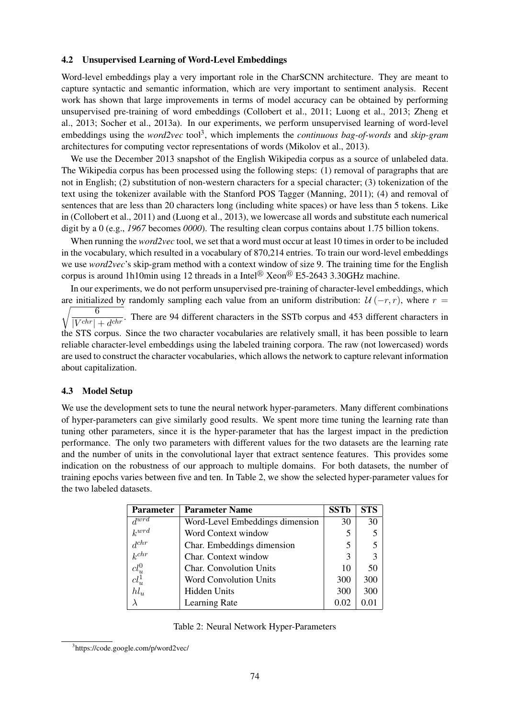#### 4.2 Unsupervised Learning of Word-Level Embeddings

Word-level embeddings play a very important role in the CharSCNN architecture. They are meant to capture syntactic and semantic information, which are very important to sentiment analysis. Recent work has shown that large improvements in terms of model accuracy can be obtained by performing unsupervised pre-training of word embeddings (Collobert et al., 2011; Luong et al., 2013; Zheng et al., 2013; Socher et al., 2013a). In our experiments, we perform unsupervised learning of word-level embeddings using the *word2vec* tool<sup>3</sup>, which implements the *continuous bag-of-words* and *skip-gram* architectures for computing vector representations of words (Mikolov et al., 2013).

We use the December 2013 snapshot of the English Wikipedia corpus as a source of unlabeled data. The Wikipedia corpus has been processed using the following steps: (1) removal of paragraphs that are not in English; (2) substitution of non-western characters for a special character; (3) tokenization of the text using the tokenizer available with the Stanford POS Tagger (Manning, 2011); (4) and removal of sentences that are less than 20 characters long (including white spaces) or have less than 5 tokens. Like in (Collobert et al., 2011) and (Luong et al., 2013), we lowercase all words and substitute each numerical digit by a 0 (e.g., *1967* becomes *0000*). The resulting clean corpus contains about 1.75 billion tokens.

When running the *word2vec* tool, we set that a word must occur at least 10 times in order to be included in the vocabulary, which resulted in a vocabulary of 870,214 entries. To train our word-level embeddings we use *word2vec*'s skip-gram method with a context window of size 9. The training time for the English corpus is around 1h10min using 12 threads in a Intel<sup>®</sup> Xeon<sup>®</sup> E5-2643 3.30GHz machine.

In our experiments, we do not perform unsupervised pre-training of character-level embeddings, which are initialized by randomly sampling each value from an uniform distribution:  $\mathcal{U}(-r,r)$ , where  $r =$ <sup>1</sup> 6  $\frac{1}{|V^{chr}| + d^{chr}}$ . There are 94 different characters in the SSTb corpus and 453 different characters in the STS corpus. Since the two character vocabularies are relatively small, it has been possible to learn reliable character-level embeddings using the labeled training corpora. The raw (not lowercased) words are used to construct the character vocabularies, which allows the network to capture relevant information about capitalization.

### 4.3 Model Setup

We use the development sets to tune the neural network hyper-parameters. Many different combinations of hyper-parameters can give similarly good results. We spent more time tuning the learning rate than tuning other parameters, since it is the hyper-parameter that has the largest impact in the prediction performance. The only two parameters with different values for the two datasets are the learning rate and the number of units in the convolutional layer that extract sentence features. This provides some indication on the robustness of our approach to multiple domains. For both datasets, the number of training epochs varies between five and ten. In Table 2, we show the selected hyper-parameter values for the two labeled datasets.

| <b>Parameter</b>                                | <b>Parameter Name</b>           | <b>SSTb</b> | <b>STS</b> |
|-------------------------------------------------|---------------------------------|-------------|------------|
| $d\overline{wrd}$                               | Word-Level Embeddings dimension | 30          | 30         |
| $k^{wrd}$                                       | Word Context window             | 5           | 5          |
| $d^{chr}$                                       | Char. Embeddings dimension      | 5           | 5          |
| $\kappa$ <sup>chr</sup>                         | Char. Context window            | 3           | 3          |
|                                                 | <b>Char.</b> Convolution Units  | 10          | 50         |
| $\begin{array}{c} cl_u^0 \\ cl_u^1 \end{array}$ | <b>Word Convolution Units</b>   | 300         | 300        |
| $hl_u$                                          | Hidden Units                    | 300         | 300        |
|                                                 | Learning Rate                   | 0.02        | 0.01       |

<sup>3</sup> https://code.google.com/p/word2vec/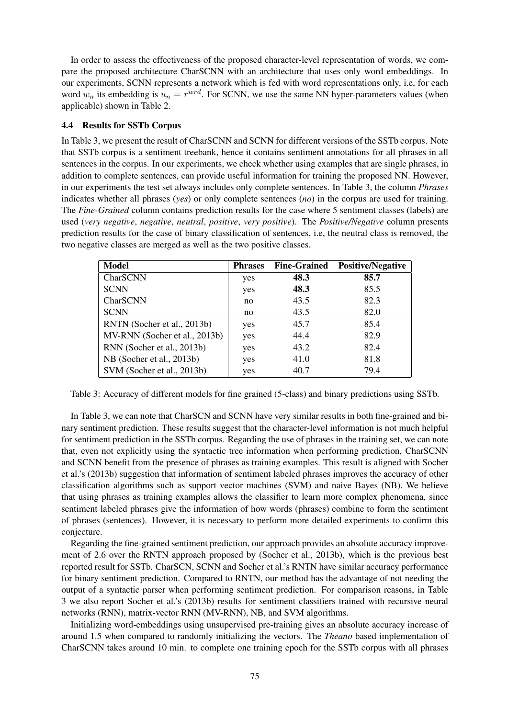In order to assess the effectiveness of the proposed character-level representation of words, we compare the proposed architecture CharSCNN with an architecture that uses only word embeddings. In our experiments, SCNN represents a network which is fed with word representations only, i.e, for each word  $w_n$  its embedding is  $u_n = r^{wrd}$ . For SCNN, we use the same NN hyper-parameters values (when applicable) shown in Table 2.

### 4.4 Results for SSTb Corpus

In Table 3, we present the result of CharSCNN and SCNN for different versions of the SSTb corpus. Note that SSTb corpus is a sentiment treebank, hence it contains sentiment annotations for all phrases in all sentences in the corpus. In our experiments, we check whether using examples that are single phrases, in addition to complete sentences, can provide useful information for training the proposed NN. However, in our experiments the test set always includes only complete sentences. In Table 3, the column *Phrases* indicates whether all phrases (*yes*) or only complete sentences (*no*) in the corpus are used for training. The *Fine-Grained* column contains prediction results for the case where 5 sentiment classes (labels) are used (*very negative*, *negative*, *neutral*, *positive*, *very positive*). The *Positive/Negative* column presents prediction results for the case of binary classification of sentences, i.e, the neutral class is removed, the two negative classes are merged as well as the two positive classes.

| <b>Model</b>                  | <b>Phrases</b> | <b>Fine-Grained</b> | <b>Positive/Negative</b> |
|-------------------------------|----------------|---------------------|--------------------------|
| CharSCNN                      | yes            | 48.3                | 85.7                     |
| <b>SCNN</b>                   | yes            | 48.3                | 85.5                     |
| CharSCNN                      | no             | 43.5                | 82.3                     |
| <b>SCNN</b>                   | no             | 43.5                | 82.0                     |
| RNTN (Socher et al., 2013b)   | yes            | 45.7                | 85.4                     |
| MV-RNN (Socher et al., 2013b) | yes            | 44.4                | 82.9                     |
| RNN (Socher et al., 2013b)    | yes            | 43.2                | 82.4                     |
| NB (Socher et al., 2013b)     | yes            | 41.0                | 81.8                     |
| SVM (Socher et al., 2013b)    | yes            | 40.7                | 79.4                     |

Table 3: Accuracy of different models for fine grained (5-class) and binary predictions using SSTb.

In Table 3, we can note that CharSCN and SCNN have very similar results in both fine-grained and binary sentiment prediction. These results suggest that the character-level information is not much helpful for sentiment prediction in the SSTb corpus. Regarding the use of phrases in the training set, we can note that, even not explicitly using the syntactic tree information when performing prediction, CharSCNN and SCNN benefit from the presence of phrases as training examples. This result is aligned with Socher et al.'s (2013b) suggestion that information of sentiment labeled phrases improves the accuracy of other classification algorithms such as support vector machines (SVM) and naive Bayes (NB). We believe that using phrases as training examples allows the classifier to learn more complex phenomena, since sentiment labeled phrases give the information of how words (phrases) combine to form the sentiment of phrases (sentences). However, it is necessary to perform more detailed experiments to confirm this conjecture.

Regarding the fine-grained sentiment prediction, our approach provides an absolute accuracy improvement of 2.6 over the RNTN approach proposed by (Socher et al., 2013b), which is the previous best reported result for SSTb. CharSCN, SCNN and Socher et al.'s RNTN have similar accuracy performance for binary sentiment prediction. Compared to RNTN, our method has the advantage of not needing the output of a syntactic parser when performing sentiment prediction. For comparison reasons, in Table 3 we also report Socher et al.'s (2013b) results for sentiment classifiers trained with recursive neural networks (RNN), matrix-vector RNN (MV-RNN), NB, and SVM algorithms.

Initializing word-embeddings using unsupervised pre-training gives an absolute accuracy increase of around 1.5 when compared to randomly initializing the vectors. The *Theano* based implementation of CharSCNN takes around 10 min. to complete one training epoch for the SSTb corpus with all phrases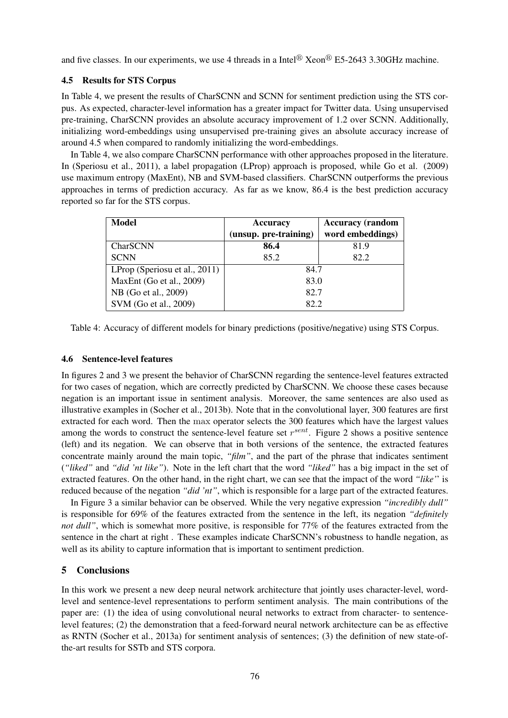and five classes. In our experiments, we use 4 threads in a Intel<sup>®</sup> Xeon<sup>®</sup> E5-2643 3.30GHz machine.

### 4.5 Results for STS Corpus

In Table 4, we present the results of CharSCNN and SCNN for sentiment prediction using the STS corpus. As expected, character-level information has a greater impact for Twitter data. Using unsupervised pre-training, CharSCNN provides an absolute accuracy improvement of 1.2 over SCNN. Additionally, initializing word-embeddings using unsupervised pre-training gives an absolute accuracy increase of around 4.5 when compared to randomly initializing the word-embeddings.

In Table 4, we also compare CharSCNN performance with other approaches proposed in the literature. In (Speriosu et al., 2011), a label propagation (LProp) approach is proposed, while Go et al. (2009) use maximum entropy (MaxEnt), NB and SVM-based classifiers. CharSCNN outperforms the previous approaches in terms of prediction accuracy. As far as we know, 86.4 is the best prediction accuracy reported so far for the STS corpus.

| Model                         | Accuracy              | <b>Accuracy</b> (random |
|-------------------------------|-----------------------|-------------------------|
|                               | (unsup. pre-training) | word embeddings)        |
| CharSCNN                      | 86.4                  | 81.9                    |
| <b>SCNN</b>                   | 85.2                  | 82.2                    |
| LProp (Speriosu et al., 2011) | 84.7                  |                         |
| MaxEnt (Go et al., 2009)      | 83.0                  |                         |
| NB (Go et al., 2009)          | 82.7                  |                         |
| SVM (Go et al., 2009)         | 82.2                  |                         |

Table 4: Accuracy of different models for binary predictions (positive/negative) using STS Corpus.

### 4.6 Sentence-level features

In figures 2 and 3 we present the behavior of CharSCNN regarding the sentence-level features extracted for two cases of negation, which are correctly predicted by CharSCNN. We choose these cases because negation is an important issue in sentiment analysis. Moreover, the same sentences are also used as illustrative examples in (Socher et al., 2013b). Note that in the convolutional layer, 300 features are first extracted for each word. Then the max operator selects the 300 features which have the largest values among the words to construct the sentence-level feature set  $r^{sent}$ . Figure 2 shows a positive sentence (left) and its negation. We can observe that in both versions of the sentence, the extracted features concentrate mainly around the main topic, *"film"*, and the part of the phrase that indicates sentiment (*"liked"* and *"did 'nt like"*). Note in the left chart that the word *"liked"* has a big impact in the set of extracted features. On the other hand, in the right chart, we can see that the impact of the word *"like'*' is reduced because of the negation *"did 'nt"*, which is responsible for a large part of the extracted features.

In Figure 3 a similar behavior can be observed. While the very negative expression *"incredibly dull"* is responsible for 69% of the features extracted from the sentence in the left, its negation *"definitely not dull"*, which is somewhat more positive, is responsible for 77% of the features extracted from the sentence in the chart at right . These examples indicate CharSCNN's robustness to handle negation, as well as its ability to capture information that is important to sentiment prediction.

### 5 Conclusions

In this work we present a new deep neural network architecture that jointly uses character-level, wordlevel and sentence-level representations to perform sentiment analysis. The main contributions of the paper are: (1) the idea of using convolutional neural networks to extract from character- to sentencelevel features; (2) the demonstration that a feed-forward neural network architecture can be as effective as RNTN (Socher et al., 2013a) for sentiment analysis of sentences; (3) the definition of new state-ofthe-art results for SSTb and STS corpora.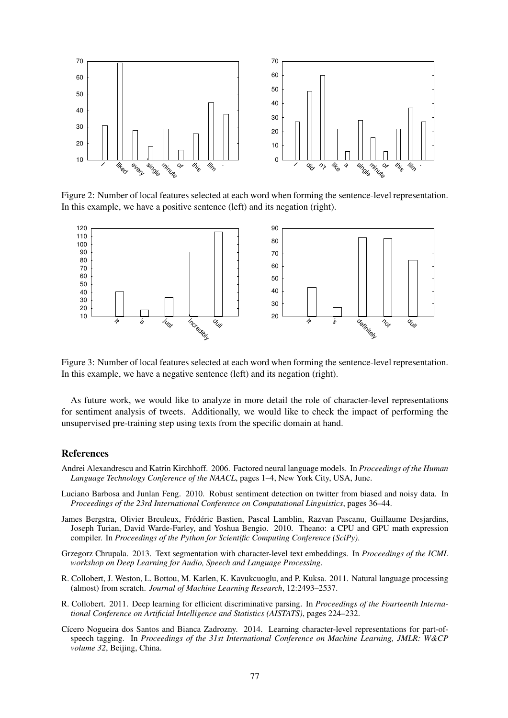

Figure 2: Number of local features selected at each word when forming the sentence-level representation. In this example, we have a positive sentence (left) and its negation (right).



Figure 3: Number of local features selected at each word when forming the sentence-level representation. In this example, we have a negative sentence (left) and its negation (right).

As future work, we would like to analyze in more detail the role of character-level representations for sentiment analysis of tweets. Additionally, we would like to check the impact of performing the unsupervised pre-training step using texts from the specific domain at hand.

### References

- Andrei Alexandrescu and Katrin Kirchhoff. 2006. Factored neural language models. In *Proceedings of the Human Language Technology Conference of the NAACL*, pages 1–4, New York City, USA, June.
- Luciano Barbosa and Junlan Feng. 2010. Robust sentiment detection on twitter from biased and noisy data. In *Proceedings of the 23rd International Conference on Computational Linguistics*, pages 36–44.
- James Bergstra, Olivier Breuleux, Frédéric Bastien, Pascal Lamblin, Razvan Pascanu, Guillaume Desjardins, Joseph Turian, David Warde-Farley, and Yoshua Bengio. 2010. Theano: a CPU and GPU math expression compiler. In *Proceedings of the Python for Scientific Computing Conference (SciPy)*.
- Grzegorz Chrupala. 2013. Text segmentation with character-level text embeddings. In *Proceedings of the ICML workshop on Deep Learning for Audio, Speech and Language Processing*.
- R. Collobert, J. Weston, L. Bottou, M. Karlen, K. Kavukcuoglu, and P. Kuksa. 2011. Natural language processing (almost) from scratch. *Journal of Machine Learning Research*, 12:2493–2537.
- R. Collobert. 2011. Deep learning for efficient discriminative parsing. In *Proceedings of the Fourteenth International Conference on Artificial Intelligence and Statistics (AISTATS)*, pages 224–232.
- Cícero Nogueira dos Santos and Bianca Zadrozny. 2014. Learning character-level representations for part-ofspeech tagging. In *Proceedings of the 31st International Conference on Machine Learning, JMLR: W&CP volume 32*, Beijing, China.